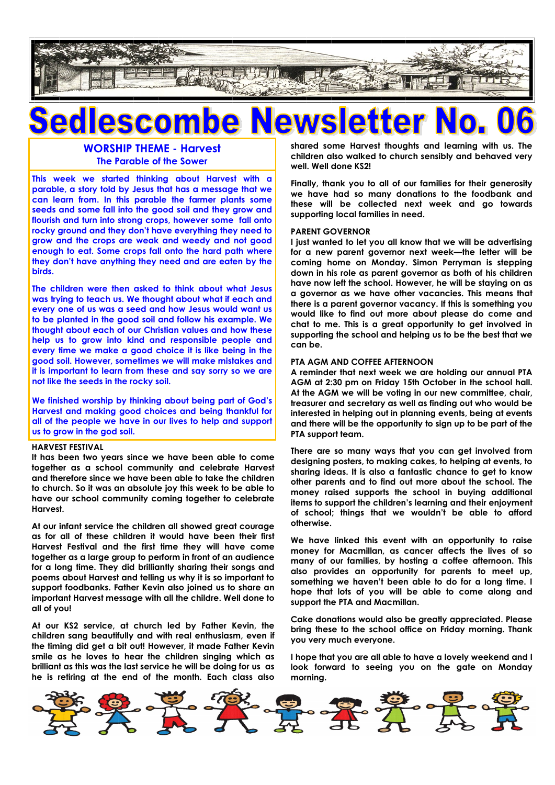

## $\bullet$

**WORSHIP THEME - Harvest The Parable of the Sower**

**This week we started thinking about Harvest with a parable, a story told by Jesus that has a message that we can learn from. In this parable the farmer plants some seeds and some fall into the good soil and they grow and flourish and turn into strong crops, however some fall onto rocky ground and they don't have everything they need to grow and the crops are weak and weedy and not good enough to eat. Some crops fall onto the hard path where they don't have anything they need and are eaten by the birds.**

**The children were then asked to think about what Jesus was trying to teach us. We thought about what if each and every one of us was a seed and how Jesus would want us to be planted in the good soil and follow his example. We thought about each of our Christian values and how these help us to grow into kind and responsible people and every time we make a good choice it is like being in the good soil. However, sometimes we will make mistakes and it is important to learn from these and say sorry so we are not like the seeds in the rocky soil.** 

**We finished worship by thinking about being part of God's Harvest and making good choices and being thankful for all of the people we have in our lives to help and support us to grow in the god soil.**

#### **HARVEST FESTIVAL**

**It has been two years since we have been able to come together as a school community and celebrate Harvest and therefore since we have been able to take the children to church. So it was an absolute joy this week to be able to have our school community coming together to celebrate Harvest.**

**At our infant service the children all showed great courage as for all of these children it would have been their first Harvest Festival and the first time they will have come together as a large group to perform in front of an audience for a long time. They did brilliantly sharing their songs and poems about Harvest and telling us why it is so important to support foodbanks. Father Kevin also joined us to share an important Harvest message with all the childre. Well done to all of you!**

**At our KS2 service, at church led by Father Kevin, the children sang beautifully and with real enthusiasm, even if the timing did get a bit out! However, it made Father Kevin smile as he loves to hear the children singing which as brilliant as this was the last service he will be doing for us as he is retiring at the end of the month. Each class also** 

**shared some Harvest thoughts and learning with us. The children also walked to church sensibly and behaved very well. Well done KS2!**

**Finally, thank you to all of our families for their generosity we have had so many donations to the foodbank and these will be collected next week and go towards supporting local families in need.**

#### **PARENT GOVERNOR**

**I just wanted to let you all know that we will be advertising for a new parent governor next week—the letter will be coming home on Monday. Simon Perryman is stepping down in his role as parent governor as both of his children have now left the school. However, he will be staying on as a governor as we have other vacancies. This means that there is a parent governor vacancy. If this is something you would like to find out more about please do come and chat to me. This is a great opportunity to get involved in supporting the school and helping us to be the best that we can be.**

### **PTA AGM AND COFFEE AFTERNOON**

**A reminder that next week we are holding our annual PTA AGM at 2:30 pm on Friday 15th October in the school hall. At the AGM we will be voting in our new committee, chair, treasurer and secretary as well as finding out who would be interested in helping out in planning events, being at events and there will be the opportunity to sign up to be part of the PTA support team.**

**There are so many ways that you can get involved from designing posters, to making cakes, to helping at events, to sharing ideas. It is also a fantastic chance to get to know other parents and to find out more about the school. The money raised supports the school in buying additional items to support the children's learning and their enjoyment of school; things that we wouldn't be able to afford otherwise.**

**We have linked this event with an opportunity to raise money for Macmillan, as cancer affects the lives of so many of our families, by hosting a coffee afternoon. This also provides an opportunity for parents to meet up, something we haven't been able to do for a long time. I hope that lots of you will be able to come along and support the PTA and Macmillan.**

**Cake donations would also be greatly appreciated. Please bring these to the school office on Friday morning. Thank you very much everyone.**

**I hope that you are all able to have a lovely weekend and I look forward to seeing you on the gate on Monday morning.**